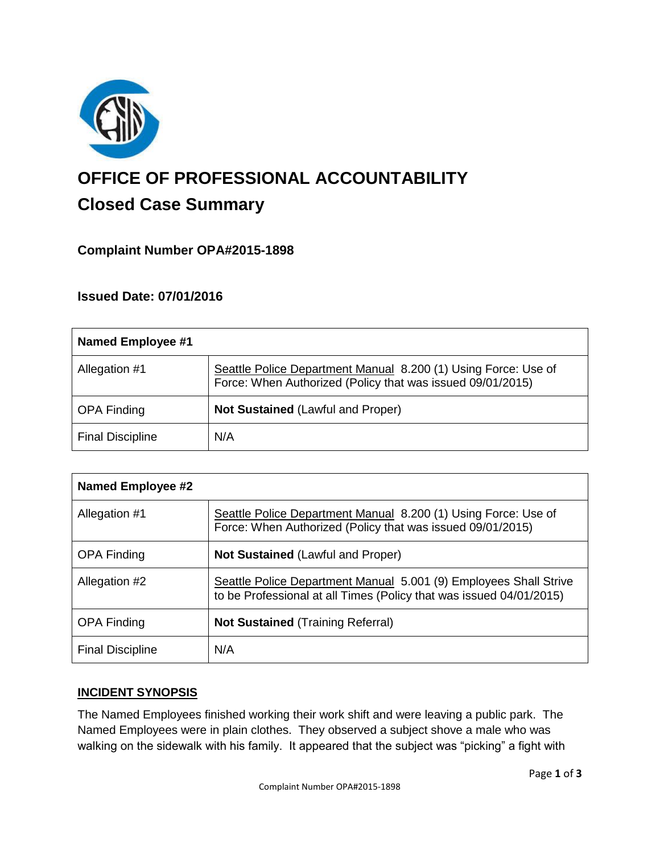

# **OFFICE OF PROFESSIONAL ACCOUNTABILITY Closed Case Summary**

# **Complaint Number OPA#2015-1898**

## **Issued Date: 07/01/2016**

| <b>Named Employee #1</b> |                                                                                                                              |
|--------------------------|------------------------------------------------------------------------------------------------------------------------------|
| Allegation #1            | Seattle Police Department Manual 8.200 (1) Using Force: Use of<br>Force: When Authorized (Policy that was issued 09/01/2015) |
| <b>OPA Finding</b>       | <b>Not Sustained (Lawful and Proper)</b>                                                                                     |
| <b>Final Discipline</b>  | N/A                                                                                                                          |

| <b>Named Employee #2</b> |                                                                                                                                          |
|--------------------------|------------------------------------------------------------------------------------------------------------------------------------------|
| Allegation #1            | Seattle Police Department Manual 8.200 (1) Using Force: Use of<br>Force: When Authorized (Policy that was issued 09/01/2015)             |
| <b>OPA Finding</b>       | <b>Not Sustained (Lawful and Proper)</b>                                                                                                 |
| Allegation #2            | Seattle Police Department Manual 5.001 (9) Employees Shall Strive<br>to be Professional at all Times (Policy that was issued 04/01/2015) |
| <b>OPA Finding</b>       | <b>Not Sustained (Training Referral)</b>                                                                                                 |
| <b>Final Discipline</b>  | N/A                                                                                                                                      |

#### **INCIDENT SYNOPSIS**

The Named Employees finished working their work shift and were leaving a public park. The Named Employees were in plain clothes. They observed a subject shove a male who was walking on the sidewalk with his family. It appeared that the subject was "picking" a fight with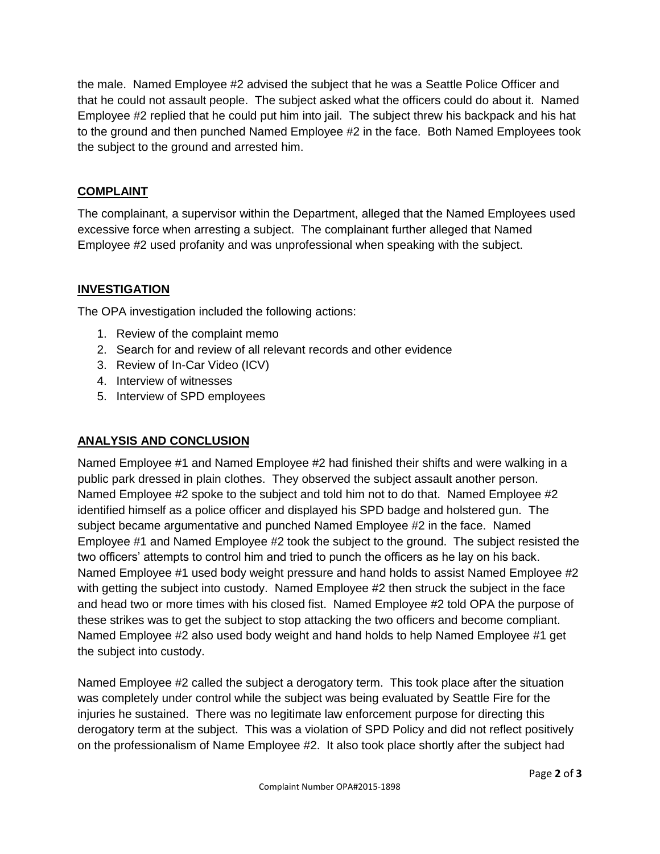the male. Named Employee #2 advised the subject that he was a Seattle Police Officer and that he could not assault people. The subject asked what the officers could do about it. Named Employee #2 replied that he could put him into jail. The subject threw his backpack and his hat to the ground and then punched Named Employee #2 in the face. Both Named Employees took the subject to the ground and arrested him.

## **COMPLAINT**

The complainant, a supervisor within the Department, alleged that the Named Employees used excessive force when arresting a subject. The complainant further alleged that Named Employee #2 used profanity and was unprofessional when speaking with the subject.

# **INVESTIGATION**

The OPA investigation included the following actions:

- 1. Review of the complaint memo
- 2. Search for and review of all relevant records and other evidence
- 3. Review of In-Car Video (ICV)
- 4. Interview of witnesses
- 5. Interview of SPD employees

# **ANALYSIS AND CONCLUSION**

Named Employee #1 and Named Employee #2 had finished their shifts and were walking in a public park dressed in plain clothes. They observed the subject assault another person. Named Employee #2 spoke to the subject and told him not to do that. Named Employee #2 identified himself as a police officer and displayed his SPD badge and holstered gun. The subject became argumentative and punched Named Employee #2 in the face. Named Employee #1 and Named Employee #2 took the subject to the ground. The subject resisted the two officers' attempts to control him and tried to punch the officers as he lay on his back. Named Employee #1 used body weight pressure and hand holds to assist Named Employee #2 with getting the subject into custody. Named Employee #2 then struck the subject in the face and head two or more times with his closed fist. Named Employee #2 told OPA the purpose of these strikes was to get the subject to stop attacking the two officers and become compliant. Named Employee #2 also used body weight and hand holds to help Named Employee #1 get the subject into custody.

Named Employee #2 called the subject a derogatory term. This took place after the situation was completely under control while the subject was being evaluated by Seattle Fire for the injuries he sustained. There was no legitimate law enforcement purpose for directing this derogatory term at the subject. This was a violation of SPD Policy and did not reflect positively on the professionalism of Name Employee #2. It also took place shortly after the subject had